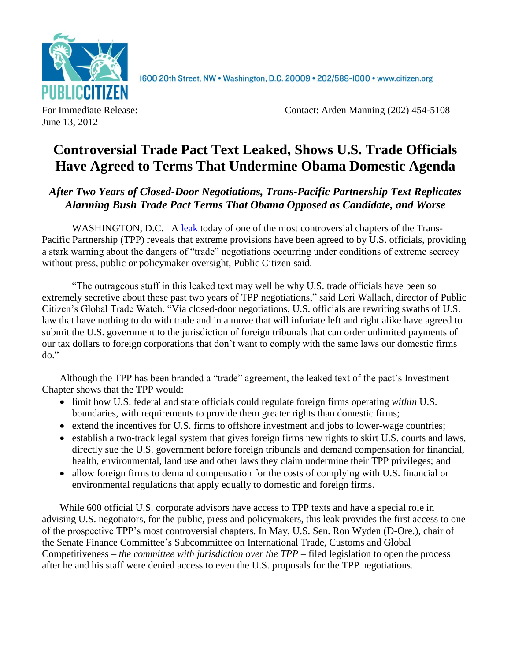

1600 20th Street, NW . Washington, D.C. 20009 . 202/588-1000 . www.citizen.org

June 13, 2012

For Immediate Release: Contact: Arden Manning (202) 454-5108

## **Controversial Trade Pact Text Leaked, Shows U.S. Trade Officials Have Agreed to Terms That Undermine Obama Domestic Agenda**

*After Two Years of Closed-Door Negotiations, Trans-Pacific Partnership Text Replicates Alarming Bush Trade Pact Terms That Obama Opposed as Candidate, and Worse*

WASHINGTON, D.C.– A [leak](http://tinyurl.com/tppinvestment) today of one of the most controversial chapters of the Trans-Pacific Partnership (TPP) reveals that extreme provisions have been agreed to by U.S. officials, providing a stark warning about the dangers of "trade" negotiations occurring under conditions of extreme secrecy without press, public or policymaker oversight, Public Citizen said.

"The outrageous stuff in this leaked text may well be why U.S. trade officials have been so extremely secretive about these past two years of TPP negotiations," said Lori Wallach, director of Public Citizen's Global Trade Watch. "Via closed-door negotiations, U.S. officials are rewriting swaths of U.S. law that have nothing to do with trade and in a move that will infuriate left and right alike have agreed to submit the U.S. government to the jurisdiction of foreign tribunals that can order unlimited payments of our tax dollars to foreign corporations that don't want to comply with the same laws our domestic firms do."

Although the TPP has been branded a "trade" agreement, the leaked text of the pact's Investment Chapter shows that the TPP would:

- limit how U.S. federal and state officials could regulate foreign firms operating *within* U.S. boundaries, with requirements to provide them greater rights than domestic firms;
- extend the incentives for U.S. firms to offshore investment and jobs to lower-wage countries;
- establish a two-track legal system that gives foreign firms new rights to skirt U.S. courts and laws, directly sue the U.S. government before foreign tribunals and demand compensation for financial, health, environmental, land use and other laws they claim undermine their TPP privileges; and
- allow foreign firms to demand compensation for the costs of complying with U.S. financial or environmental regulations that apply equally to domestic and foreign firms.

While 600 official U.S. corporate advisors have access to TPP texts and have a special role in advising U.S. negotiators, for the public, press and policymakers, this leak provides the first access to one of the prospective TPP's most controversial chapters. In May, U.S. Sen. Ron Wyden (D-Ore.), chair of the Senate Finance Committee's Subcommittee on International Trade, Customs and Global Competitiveness – *the committee with jurisdiction over the TPP* – filed legislation to open the process after he and his staff were denied access to even the U.S. proposals for the TPP negotiations.